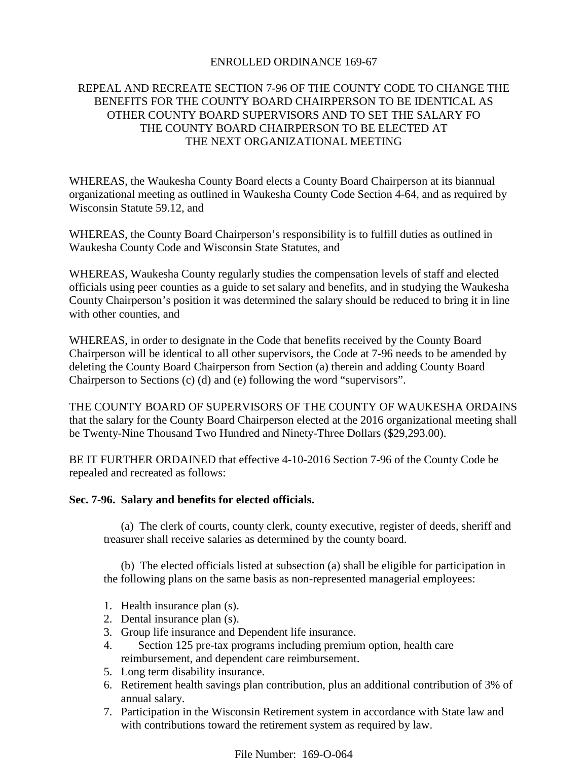## ENROLLED ORDINANCE 169-67

# REPEAL AND RECREATE SECTION 7-96 OF THE COUNTY CODE TO CHANGE THE BENEFITS FOR THE COUNTY BOARD CHAIRPERSON TO BE IDENTICAL AS OTHER COUNTY BOARD SUPERVISORS AND TO SET THE SALARY FO THE COUNTY BOARD CHAIRPERSON TO BE ELECTED AT THE NEXT ORGANIZATIONAL MEETING

WHEREAS, the Waukesha County Board elects a County Board Chairperson at its biannual organizational meeting as outlined in Waukesha County Code Section 4-64, and as required by Wisconsin Statute 59.12, and

WHEREAS, the County Board Chairperson's responsibility is to fulfill duties as outlined in Waukesha County Code and Wisconsin State Statutes, and

WHEREAS, Waukesha County regularly studies the compensation levels of staff and elected officials using peer counties as a guide to set salary and benefits, and in studying the Waukesha County Chairperson's position it was determined the salary should be reduced to bring it in line with other counties, and

WHEREAS, in order to designate in the Code that benefits received by the County Board Chairperson will be identical to all other supervisors, the Code at 7-96 needs to be amended by deleting the County Board Chairperson from Section (a) therein and adding County Board Chairperson to Sections (c) (d) and (e) following the word "supervisors".

THE COUNTY BOARD OF SUPERVISORS OF THE COUNTY OF WAUKESHA ORDAINS that the salary for the County Board Chairperson elected at the 2016 organizational meeting shall be Twenty-Nine Thousand Two Hundred and Ninety-Three Dollars (\$29,293.00).

BE IT FURTHER ORDAINED that effective 4-10-2016 Section 7-96 of the County Code be repealed and recreated as follows:

## **Sec. 7-96. Salary and benefits for elected officials.**

(a) The clerk of courts, county clerk, county executive, register of deeds, sheriff and treasurer shall receive salaries as determined by the county board.

(b) The elected officials listed at subsection (a) shall be eligible for participation in the following plans on the same basis as non-represented managerial employees:

- 1. Health insurance plan (s).
- 2. Dental insurance plan (s).
- 3. Group life insurance and Dependent life insurance.
- 4. Section 125 pre-tax programs including premium option, health care reimbursement, and dependent care reimbursement.
- 5. Long term disability insurance.
- 6. Retirement health savings plan contribution, plus an additional contribution of 3% of annual salary.
- 7. Participation in the Wisconsin Retirement system in accordance with State law and with contributions toward the retirement system as required by law.

File Number: 169-O-064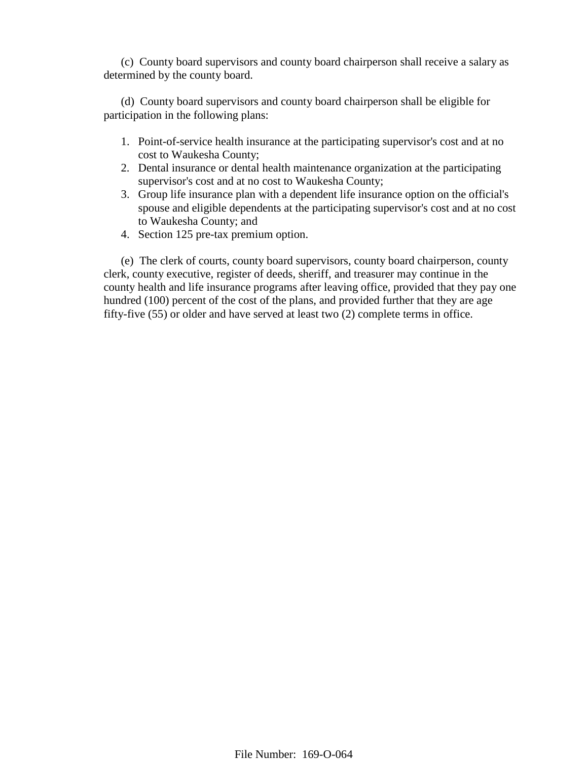(c) County board supervisors and county board chairperson shall receive a salary as determined by the county board.

(d) County board supervisors and county board chairperson shall be eligible for participation in the following plans:

- 1. Point-of-service health insurance at the participating supervisor's cost and at no cost to Waukesha County;
- 2. Dental insurance or dental health maintenance organization at the participating supervisor's cost and at no cost to Waukesha County;
- 3. Group life insurance plan with a dependent life insurance option on the official's spouse and eligible dependents at the participating supervisor's cost and at no cost to Waukesha County; and
- 4. Section 125 pre-tax premium option.

(e) The clerk of courts, county board supervisors, county board chairperson, county clerk, county executive, register of deeds, sheriff, and treasurer may continue in the county health and life insurance programs after leaving office, provided that they pay one hundred (100) percent of the cost of the plans, and provided further that they are age fifty-five (55) or older and have served at least two (2) complete terms in office.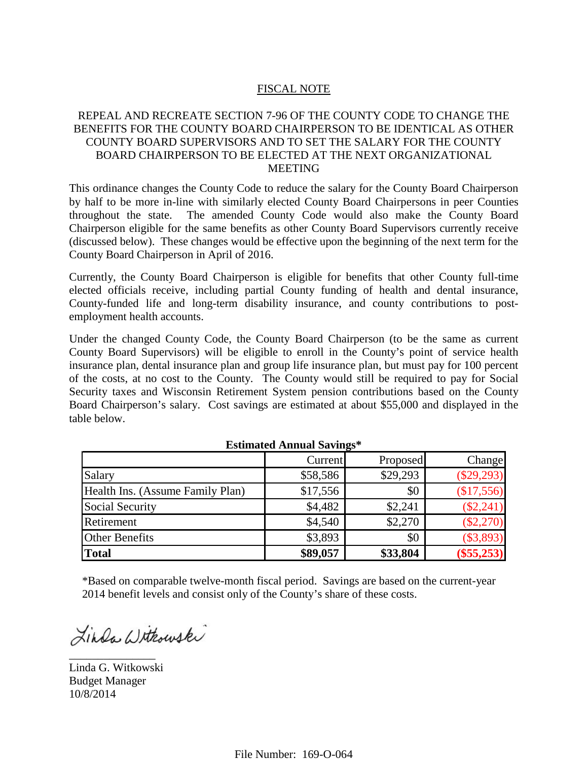#### FISCAL NOTE

## REPEAL AND RECREATE SECTION 7-96 OF THE COUNTY CODE TO CHANGE THE BENEFITS FOR THE COUNTY BOARD CHAIRPERSON TO BE IDENTICAL AS OTHER COUNTY BOARD SUPERVISORS AND TO SET THE SALARY FOR THE COUNTY BOARD CHAIRPERSON TO BE ELECTED AT THE NEXT ORGANIZATIONAL MEETING

This ordinance changes the County Code to reduce the salary for the County Board Chairperson by half to be more in-line with similarly elected County Board Chairpersons in peer Counties throughout the state. The amended County Code would also make the County Board Chairperson eligible for the same benefits as other County Board Supervisors currently receive (discussed below). These changes would be effective upon the beginning of the next term for the County Board Chairperson in April of 2016.

Currently, the County Board Chairperson is eligible for benefits that other County full-time elected officials receive, including partial County funding of health and dental insurance, County-funded life and long-term disability insurance, and county contributions to postemployment health accounts.

Under the changed County Code, the County Board Chairperson (to be the same as current County Board Supervisors) will be eligible to enroll in the County's point of service health insurance plan, dental insurance plan and group life insurance plan, but must pay for 100 percent of the costs, at no cost to the County. The County would still be required to pay for Social Security taxes and Wisconsin Retirement System pension contributions based on the County Board Chairperson's salary. Cost savings are estimated at about \$55,000 and displayed in the table below.

|                                  | Current  | Proposed | Change       |
|----------------------------------|----------|----------|--------------|
| Salary                           | \$58,586 | \$29,293 | $(\$29,293)$ |
| Health Ins. (Assume Family Plan) | \$17,556 | \$0      | (\$17,556)   |
| Social Security                  | \$4,482  | \$2,241  | $(\$2,241)$  |
| Retirement                       | \$4,540  | \$2,270  | $(\$2,270)$  |
| <b>Other Benefits</b>            | \$3,893  | \$0      | $(\$3,893)$  |
| <b>Total</b>                     | \$89,057 | \$33,804 | $(\$55,253)$ |

#### **Estimated Annual Savings\***

\*Based on comparable twelve-month fiscal period. Savings are based on the current-year 2014 benefit levels and consist only of the County's share of these costs.

Linda Withowski

Linda G. Witkowski Budget Manager 10/8/2014

\_\_\_\_\_\_\_\_\_\_\_\_\_\_\_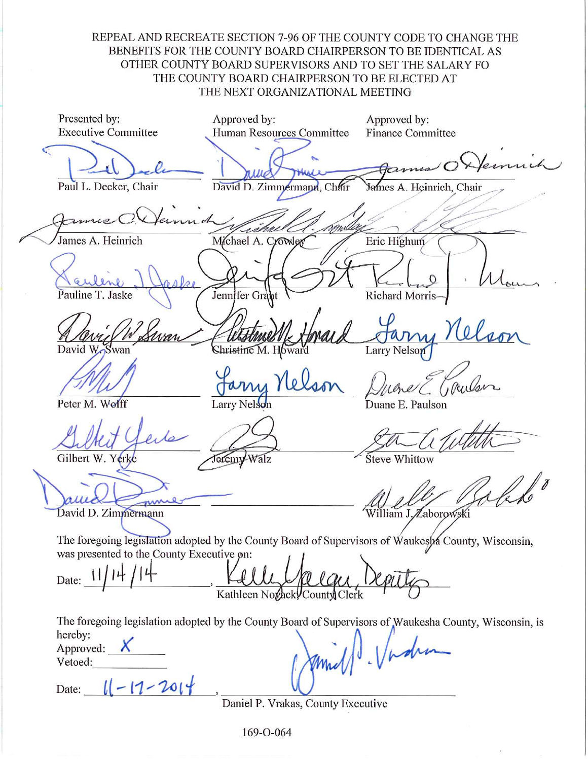REPEAL AND RECREATE SECTION 7-96 OF THE COUNTY CODE TO CHANGE THE BENEFITS FOR THE COUNTY BOARD CHAIRPERSON TO BE IDENTICAL AS OTHER COUNTY BOARD SUPERVISORS AND TO SET THE SALARY FO THE COUNTY BOARD CHAIRPERSON TO BE ELECTED AT THE NEXT ORGANIZATIONAL MEETING

Presented by: Approved by: Approved by: **Executive Committee** Human Resources Committee **Finance Committee** € Paul L. Decker, Chair David D. Zimmermann, Chair James A. Heinrich, Chair einnah mili Michael A. Crowler Eric Highum James A. Heinrich Jennifer Gra Pauline T. Jaske Richard Morris-Christine M. Howard David **Larry Nelson** Rullar Peter M. Wolff Larry Nelson Duane E. Paulson Gilbert W. Yerke Jeremy Walz Steve Whittow David D. Zimmermann William J. Zaborowski The foregoing legislation adopted by the County Board of Supervisors of Waukesha County, Wisconsin, was presented to the County Executive on: Date: 11 Kathleen Novack County Clerk The foregoing legislation adopted by the County Board of Supervisors of Waukesha County, Wisconsin, is 11 . Vadra hereby: Approved:  $X$ Vetoed: Date:  $||-17-201||$ 

Daniel P. Vrakas, County Executive

169-O-064